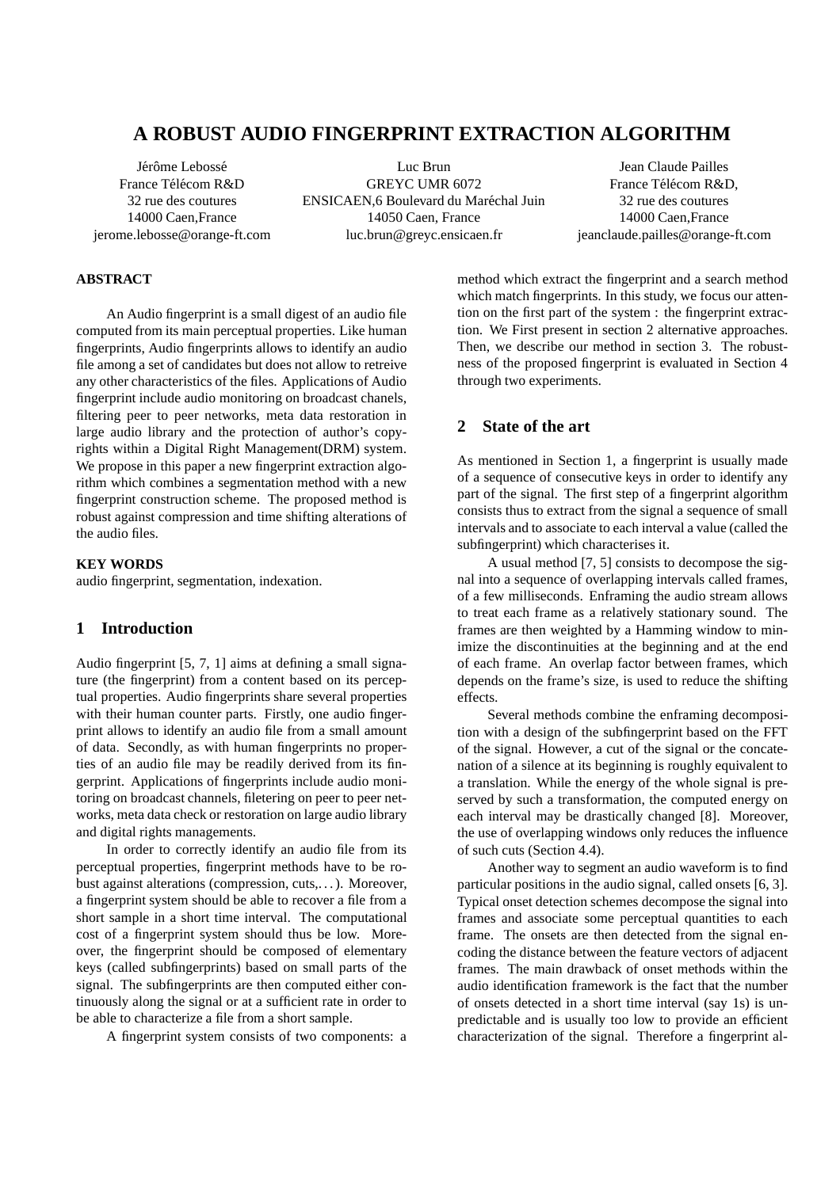# **A ROBUST AUDIO FINGERPRINT EXTRACTION ALGORITHM**

Jérôme Lebossé France Télécom R&D 32 rue des coutures 14000 Caen,France jerome.lebosse@orange-ft.com

Luc Brun GREYC UMR 6072 ENSICAEN,6 Boulevard du Maréchal Juin 14050 Caen, France luc.brun@greyc.ensicaen.fr

Jean Claude Pailles France Télécom R&D. 32 rue des coutures 14000 Caen,France jeanclaude.pailles@orange-ft.com

## **ABSTRACT**

An Audio fingerprint is a small digest of an audio file computed from its main perceptual properties. Like human fingerprints, Audio fingerprints allows to identify an audio file among a set of candidates but does not allow to retreive any other characteristics of the files. Applications of Audio fingerprint include audio monitoring on broadcast chanels, filtering peer to peer networks, meta data restoration in large audio library and the protection of author's copyrights within a Digital Right Management(DRM) system. We propose in this paper a new fingerprint extraction algorithm which combines a segmentation method with a new fingerprint construction scheme. The proposed method is robust against compression and time shifting alterations of the audio files.

### **KEY WORDS**

audio fingerprint, segmentation, indexation.

## **1 Introduction**

Audio fingerprint [5, 7, 1] aims at defining a small signature (the fingerprint) from a content based on its perceptual properties. Audio fingerprints share several properties with their human counter parts. Firstly, one audio fingerprint allows to identify an audio file from a small amount of data. Secondly, as with human fingerprints no properties of an audio file may be readily derived from its fingerprint. Applications of fingerprints include audio monitoring on broadcast channels, filetering on peer to peer networks, meta data check or restoration on large audio library and digital rights managements.

In order to correctly identify an audio file from its perceptual properties, fingerprint methods have to be robust against alterations (compression, cuts,. . . ). Moreover, a fingerprint system should be able to recover a file from a short sample in a short time interval. The computational cost of a fingerprint system should thus be low. Moreover, the fingerprint should be composed of elementary keys (called subfingerprints) based on small parts of the signal. The subfingerprints are then computed either continuously along the signal or at a sufficient rate in order to be able to characterize a file from a short sample.

A fingerprint system consists of two components: a

method which extract the fingerprint and a search method which match fingerprints. In this study, we focus our attention on the first part of the system : the fingerprint extraction. We First present in section 2 alternative approaches. Then, we describe our method in section 3. The robustness of the proposed fingerprint is evaluated in Section 4 through two experiments.

## **2 State of the art**

As mentioned in Section 1, a fingerprint is usually made of a sequence of consecutive keys in order to identify any part of the signal. The first step of a fingerprint algorithm consists thus to extract from the signal a sequence of small intervals and to associate to each interval a value (called the subfingerprint) which characterises it.

A usual method [7, 5] consists to decompose the signal into a sequence of overlapping intervals called frames, of a few milliseconds. Enframing the audio stream allows to treat each frame as a relatively stationary sound. The frames are then weighted by a Hamming window to minimize the discontinuities at the beginning and at the end of each frame. An overlap factor between frames, which depends on the frame's size, is used to reduce the shifting effects.

Several methods combine the enframing decomposition with a design of the subfingerprint based on the FFT of the signal. However, a cut of the signal or the concatenation of a silence at its beginning is roughly equivalent to a translation. While the energy of the whole signal is preserved by such a transformation, the computed energy on each interval may be drastically changed [8]. Moreover, the use of overlapping windows only reduces the influence of such cuts (Section 4.4).

Another way to segment an audio waveform is to find particular positions in the audio signal, called onsets [6, 3]. Typical onset detection schemes decompose the signal into frames and associate some perceptual quantities to each frame. The onsets are then detected from the signal encoding the distance between the feature vectors of adjacent frames. The main drawback of onset methods within the audio identification framework is the fact that the number of onsets detected in a short time interval (say 1s) is unpredictable and is usually too low to provide an efficient characterization of the signal. Therefore a fingerprint al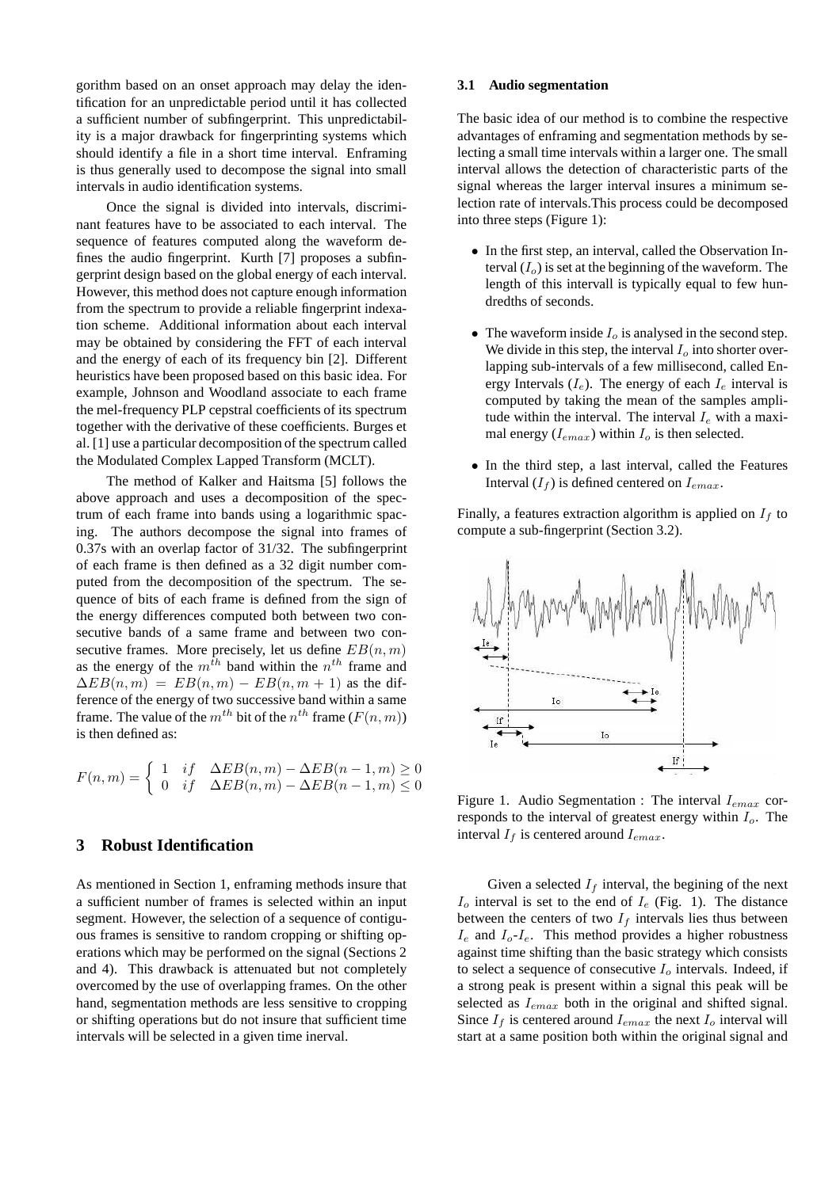gorithm based on an onset approach may delay the identification for an unpredictable period until it has collected a sufficient number of subfingerprint. This unpredictability is a major drawback for fingerprinting systems which should identify a file in a short time interval. Enframing is thus generally used to decompose the signal into small intervals in audio identification systems.

Once the signal is divided into intervals, discriminant features have to be associated to each interval. The sequence of features computed along the waveform defines the audio fingerprint. Kurth [7] proposes a subfingerprint design based on the global energy of each interval. However, this method does not capture enough information from the spectrum to provide a reliable fingerprint indexation scheme. Additional information about each interval may be obtained by considering the FFT of each interval and the energy of each of its frequency bin [2]. Different heuristics have been proposed based on this basic idea. For example, Johnson and Woodland associate to each frame the mel-frequency PLP cepstral coefficients of its spectrum together with the derivative of these coefficients. Burges et al. [1] use a particular decomposition of the spectrum called the Modulated Complex Lapped Transform (MCLT).

The method of Kalker and Haitsma [5] follows the above approach and uses a decomposition of the spectrum of each frame into bands using a logarithmic spacing. The authors decompose the signal into frames of 0.37s with an overlap factor of 31/32. The subfingerprint of each frame is then defined as a 32 digit number computed from the decomposition of the spectrum. The sequence of bits of each frame is defined from the sign of the energy differences computed both between two consecutive bands of a same frame and between two consecutive frames. More precisely, let us define  $EB(n, m)$ as the energy of the  $m^{th}$  band within the  $n^{th}$  frame and  $\Delta EB(n,m) = EB(n,m) - EB(n,m+1)$  as the difference of the energy of two successive band within a same frame. The value of the  $m^{th}$  bit of the  $n^{th}$  frame  $(F(n, m))$ is then defined as:

$$
F(n,m) = \begin{cases} 1 & \text{if } \Delta E B(n,m) - \Delta E B(n-1,m) \ge 0 \\ 0 & \text{if } \Delta E B(n,m) - \Delta E B(n-1,m) \le 0 \end{cases}
$$

## **3 Robust Identification**

As mentioned in Section 1, enframing methods insure that a sufficient number of frames is selected within an input segment. However, the selection of a sequence of contiguous frames is sensitive to random cropping or shifting operations which may be performed on the signal (Sections 2 and 4). This drawback is attenuated but not completely overcomed by the use of overlapping frames. On the other hand, segmentation methods are less sensitive to cropping or shifting operations but do not insure that sufficient time intervals will be selected in a given time inerval.

### **3.1 Audio segmentation**

The basic idea of our method is to combine the respective advantages of enframing and segmentation methods by selecting a small time intervals within a larger one. The small interval allows the detection of characteristic parts of the signal whereas the larger interval insures a minimum selection rate of intervals.This process could be decomposed into three steps (Figure 1):

- In the first step, an interval, called the Observation Interval  $(I<sub>o</sub>)$  is set at the beginning of the waveform. The length of this intervall is typically equal to few hundredths of seconds.
- The waveform inside  $I_0$  is analysed in the second step. We divide in this step, the interval  $I<sub>o</sub>$  into shorter overlapping sub-intervals of a few millisecond, called Energy Intervals  $(I_e)$ . The energy of each  $I_e$  interval is computed by taking the mean of the samples amplitude within the interval. The interval  $I_e$  with a maximal energy  $(I_{emax})$  within  $I_o$  is then selected.
- In the third step, a last interval, called the Features Interval  $(I_f)$  is defined centered on  $I_{emax}$ .

Finally, a features extraction algorithm is applied on  $I_f$  to compute a sub-fingerprint (Section 3.2).



Figure 1. Audio Segmentation : The interval  $I_{emax}$  corresponds to the interval of greatest energy within  $I<sub>o</sub>$ . The interval  $I_f$  is centered around  $I_{emax}$ .

Given a selected  $I_f$  interval, the begining of the next  $I<sub>o</sub>$  interval is set to the end of  $I<sub>e</sub>$  (Fig. 1). The distance between the centers of two  $I_f$  intervals lies thus between  $I_e$  and  $I_o$ - $I_e$ . This method provides a higher robustness against time shifting than the basic strategy which consists to select a sequence of consecutive  $I<sub>o</sub>$  intervals. Indeed, if a strong peak is present within a signal this peak will be selected as  $I_{emax}$  both in the original and shifted signal. Since  $I_f$  is centered around  $I_{emax}$  the next  $I_o$  interval will start at a same position both within the original signal and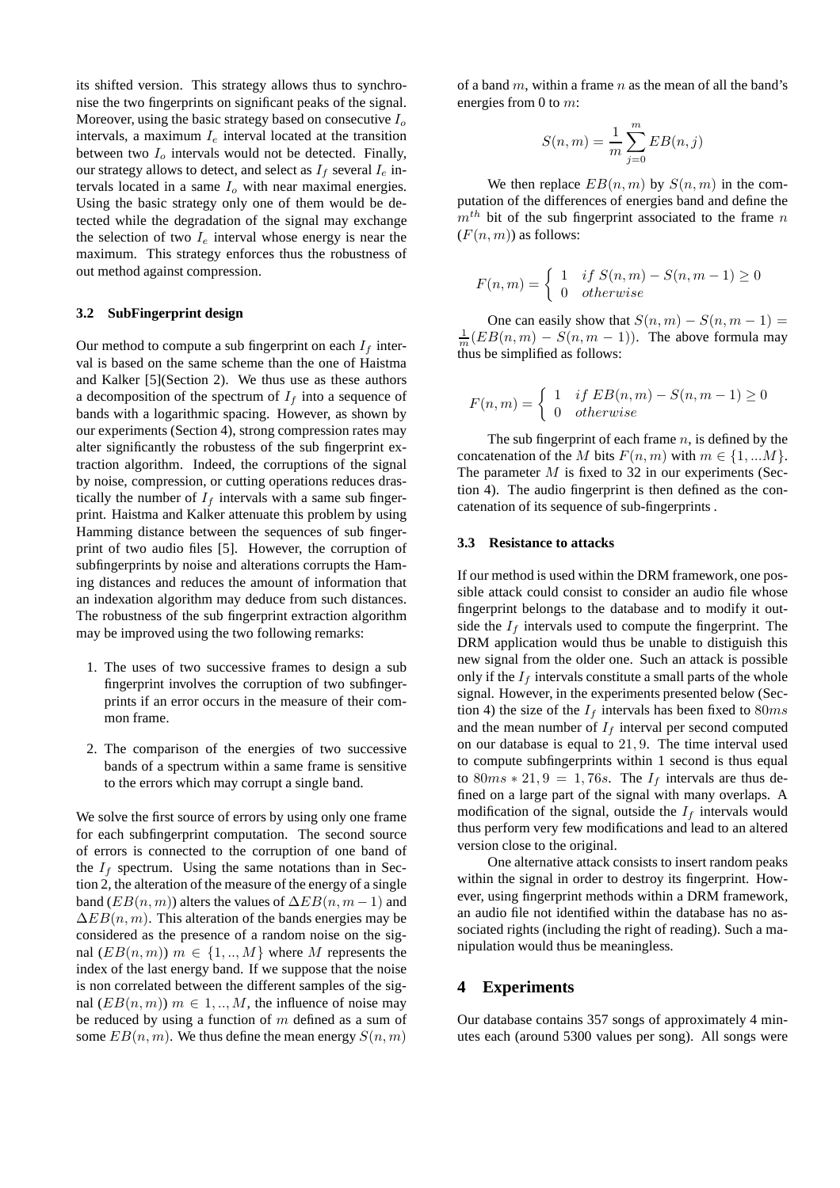its shifted version. This strategy allows thus to synchronise the two fingerprints on significant peaks of the signal. Moreover, using the basic strategy based on consecutive  $I<sub>o</sub>$ intervals, a maximum  $I_e$  interval located at the transition between two  $I_0$  intervals would not be detected. Finally, our strategy allows to detect, and select as  $I_f$  several  $I_e$  intervals located in a same  $I<sub>o</sub>$  with near maximal energies. Using the basic strategy only one of them would be detected while the degradation of the signal may exchange the selection of two  $I_e$  interval whose energy is near the maximum. This strategy enforces thus the robustness of out method against compression.

#### **3.2 SubFingerprint design**

Our method to compute a sub fingerprint on each  $I_f$  interval is based on the same scheme than the one of Haistma and Kalker [5](Section 2). We thus use as these authors a decomposition of the spectrum of  $I_f$  into a sequence of bands with a logarithmic spacing. However, as shown by our experiments (Section 4), strong compression rates may alter significantly the robustess of the sub fingerprint extraction algorithm. Indeed, the corruptions of the signal by noise, compression, or cutting operations reduces drastically the number of  $I_f$  intervals with a same sub fingerprint. Haistma and Kalker attenuate this problem by using Hamming distance between the sequences of sub fingerprint of two audio files [5]. However, the corruption of subfingerprints by noise and alterations corrupts the Haming distances and reduces the amount of information that an indexation algorithm may deduce from such distances. The robustness of the sub fingerprint extraction algorithm may be improved using the two following remarks:

- 1. The uses of two successive frames to design a sub fingerprint involves the corruption of two subfingerprints if an error occurs in the measure of their common frame.
- 2. The comparison of the energies of two successive bands of a spectrum within a same frame is sensitive to the errors which may corrupt a single band.

We solve the first source of errors by using only one frame for each subfingerprint computation. The second source of errors is connected to the corruption of one band of the  $I_f$  spectrum. Using the same notations than in Section 2, the alteration of the measure of the energy of a single band ( $EB(n, m)$ ) alters the values of  $\Delta EB(n, m - 1)$  and  $\Delta EB(n, m)$ . This alteration of the bands energies may be considered as the presence of a random noise on the signal  $(EB(n, m))$   $m \in \{1, ..., M\}$  where M represents the index of the last energy band. If we suppose that the noise is non correlated between the different samples of the signal  $(EB(n, m))$   $m \in 1, ..., M$ , the influence of noise may be reduced by using a function of  $m$  defined as a sum of some  $EB(n, m)$ . We thus define the mean energy  $S(n, m)$ 

of a band  $m$ , within a frame  $n$  as the mean of all the band's energies from 0 to m:

$$
S(n,m) = \frac{1}{m} \sum_{j=0}^{m} EB(n,j)
$$

We then replace  $EB(n, m)$  by  $S(n, m)$  in the computation of the differences of energies band and define the  $m<sup>th</sup>$  bit of the sub fingerprint associated to the frame n  $(F(n, m))$  as follows:

$$
F(n,m) = \begin{cases} 1 & \text{if } S(n,m) - S(n,m-1) \ge 0 \\ 0 & \text{otherwise} \end{cases}
$$

One can easily show that  $S(n, m) - S(n, m - 1) =$  $\frac{1}{m}(EB(n,m) - S(n,m-1))$ . The above formula may thus be simplified as follows:

$$
F(n,m) = \begin{cases} 1 & \text{if } EB(n,m) - S(n,m-1) \ge 0\\ 0 & \text{otherwise} \end{cases}
$$

The sub fingerprint of each frame  $n$ , is defined by the concatenation of the M bits  $F(n, m)$  with  $m \in \{1, ...M\}$ . The parameter  $M$  is fixed to 32 in our experiments (Section 4). The audio fingerprint is then defined as the concatenation of its sequence of sub-fingerprints .

#### **3.3 Resistance to attacks**

If our method is used within the DRM framework, one possible attack could consist to consider an audio file whose fingerprint belongs to the database and to modify it outside the  $I_f$  intervals used to compute the fingerprint. The DRM application would thus be unable to distiguish this new signal from the older one. Such an attack is possible only if the  $I_f$  intervals constitute a small parts of the whole signal. However, in the experiments presented below (Section 4) the size of the  $I_f$  intervals has been fixed to 80ms and the mean number of  $I_f$  interval per second computed on our database is equal to 21, 9. The time interval used to compute subfingerprints within 1 second is thus equal to  $80ms * 21, 9 = 1, 76s$ . The  $I_f$  intervals are thus defined on a large part of the signal with many overlaps. A modification of the signal, outside the  $I_f$  intervals would thus perform very few modifications and lead to an altered version close to the original.

One alternative attack consists to insert random peaks within the signal in order to destroy its fingerprint. However, using fingerprint methods within a DRM framework, an audio file not identified within the database has no associated rights (including the right of reading). Such a manipulation would thus be meaningless.

### **4 Experiments**

Our database contains 357 songs of approximately 4 minutes each (around 5300 values per song). All songs were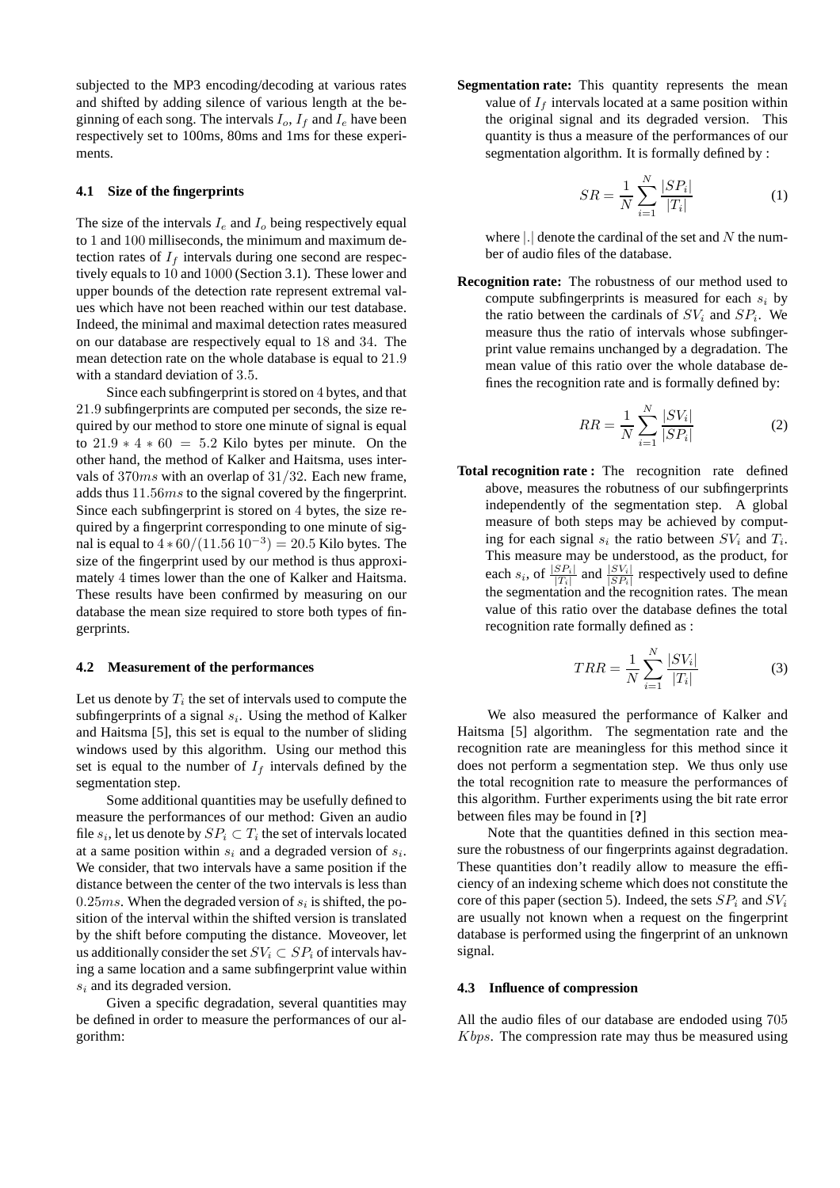subjected to the MP3 encoding/decoding at various rates and shifted by adding silence of various length at the beginning of each song. The intervals  $I_o$ ,  $I_f$  and  $I_e$  have been respectively set to 100ms, 80ms and 1ms for these experiments.

### **4.1 Size of the fingerprints**

The size of the intervals  $I_e$  and  $I_o$  being respectively equal to 1 and 100 milliseconds, the minimum and maximum detection rates of  $I_f$  intervals during one second are respectively equals to 10 and 1000 (Section 3.1). These lower and upper bounds of the detection rate represent extremal values which have not been reached within our test database. Indeed, the minimal and maximal detection rates measured on our database are respectively equal to 18 and 34. The mean detection rate on the whole database is equal to 21.9 with a standard deviation of 3.5.

Since each subfingerprint is stored on 4 bytes, and that 21.9 subfingerprints are computed per seconds, the size required by our method to store one minute of signal is equal to  $21.9 * 4 * 60 = 5.2$  Kilo bytes per minute. On the other hand, the method of Kalker and Haitsma, uses intervals of 370ms with an overlap of 31/32. Each new frame, adds thus 11.56ms to the signal covered by the fingerprint. Since each subfingerprint is stored on 4 bytes, the size required by a fingerprint corresponding to one minute of signal is equal to  $4 * 60/(11.56 10^{-3}) = 20.5$  Kilo bytes. The size of the fingerprint used by our method is thus approximately 4 times lower than the one of Kalker and Haitsma. These results have been confirmed by measuring on our database the mean size required to store both types of fingerprints.

#### **4.2 Measurement of the performances**

Let us denote by  $T_i$  the set of intervals used to compute the subfingerprints of a signal  $s_i$ . Using the method of Kalker and Haitsma [5], this set is equal to the number of sliding windows used by this algorithm. Using our method this set is equal to the number of  $I_f$  intervals defined by the segmentation step.

Some additional quantities may be usefully defined to measure the performances of our method: Given an audio file  $s_i$ , let us denote by  $SP_i \subset T_i$  the set of intervals located at a same position within  $s_i$  and a degraded version of  $s_i$ . We consider, that two intervals have a same position if the distance between the center of the two intervals is less than 0.25ms. When the degraded version of  $s_i$  is shifted, the position of the interval within the shifted version is translated by the shift before computing the distance. Moveover, let us additionally consider the set  $SV_i \subset SP_i$  of intervals having a same location and a same subfingerprint value within s<sup>i</sup> and its degraded version.

Given a specific degradation, several quantities may be defined in order to measure the performances of our algorithm:

**Segmentation rate:** This quantity represents the mean value of  $I_f$  intervals located at a same position within the original signal and its degraded version. This quantity is thus a measure of the performances of our segmentation algorithm. It is formally defined by :

$$
SR = \frac{1}{N} \sum_{i=1}^{N} \frac{|SP_i|}{|T_i|}
$$
 (1)

where  $\vert \cdot \vert$  denote the cardinal of the set and N the number of audio files of the database.

**Recognition rate:** The robustness of our method used to compute subfingerprints is measured for each  $s_i$  by the ratio between the cardinals of  $SV_i$  and  $SP_i$ . We measure thus the ratio of intervals whose subfingerprint value remains unchanged by a degradation. The mean value of this ratio over the whole database defines the recognition rate and is formally defined by:

$$
RR = \frac{1}{N} \sum_{i=1}^{N} \frac{|SV_i|}{|SP_i|}
$$
 (2)

**Total recognition rate :** The recognition rate defined above, measures the robutness of our subfingerprints independently of the segmentation step. A global measure of both steps may be achieved by computing for each signal  $s_i$  the ratio between  $SV_i$  and  $T_i$ . This measure may be understood, as the product, for each  $s_i$ , of  $\frac{|SP_i|}{|T_i|}$  and  $\frac{|SV_i|}{|SP_i|}$  respectively used to define the segmentation and the recognition rates. The mean value of this ratio over the database defines the total recognition rate formally defined as :

$$
TRR = \frac{1}{N} \sum_{i=1}^{N} \frac{|SV_i|}{|T_i|}
$$
 (3)

We also measured the performance of Kalker and Haitsma [5] algorithm. The segmentation rate and the recognition rate are meaningless for this method since it does not perform a segmentation step. We thus only use the total recognition rate to measure the performances of this algorithm. Further experiments using the bit rate error between files may be found in [**?**]

Note that the quantities defined in this section measure the robustness of our fingerprints against degradation. These quantities don't readily allow to measure the efficiency of an indexing scheme which does not constitute the core of this paper (section 5). Indeed, the sets  $SP_i$  and  $SV_i$ are usually not known when a request on the fingerprint database is performed using the fingerprint of an unknown signal.

#### **4.3 Influence of compression**

All the audio files of our database are endoded using 705 Kbps. The compression rate may thus be measured using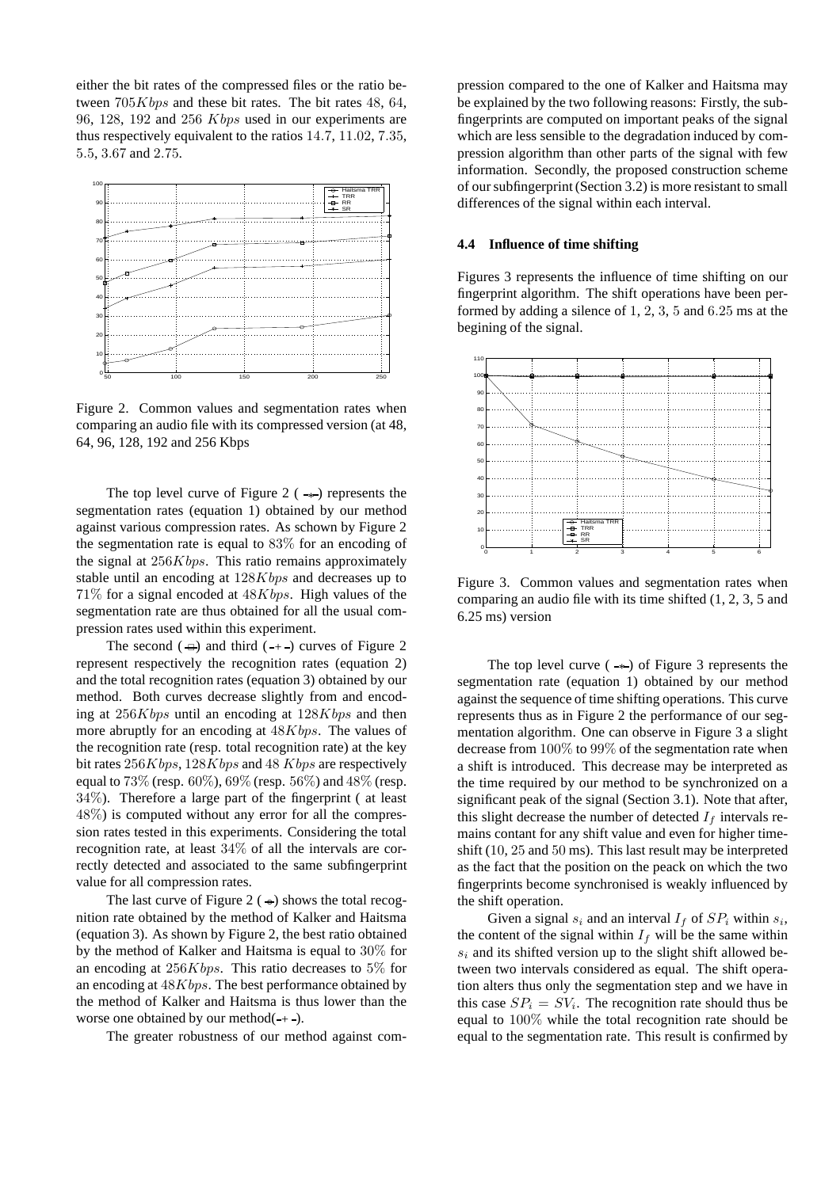either the bit rates of the compressed files or the ratio between  $705Kbps$  and these bit rates. The bit rates 48, 64, 96, 128, 192 and 256 Kbps used in our experiments are thus respectively equivalent to the ratios 14.7, 11.02, 7.35, 5.5, 3.67 and 2.75.



Figure 2. Common values and segmentation rates when comparing an audio file with its compressed version (at 48, 64, 96, 128, 192 and 256 Kbps

The top level curve of Figure 2  $($  - $\ast$  $)$  represents the segmentation rates (equation 1) obtained by our method against various compression rates. As schown by Figure 2 the segmentation rate is equal to 83% for an encoding of the signal at 256Kbps. This ratio remains approximately stable until an encoding at 128Kbps and decreases up to  $71\%$  for a signal encoded at  $48Kbps$ . High values of the segmentation rate are thus obtained for all the usual compression rates used within this experiment.

The second  $(\triangleleft)$  and third  $(+)$  curves of Figure 2 represent respectively the recognition rates (equation 2) and the total recognition rates (equation 3) obtained by our method. Both curves decrease slightly from and encoding at  $256Kbps$  until an encoding at  $128Kbps$  and then more abruptly for an encoding at  $48Kbps$ . The values of the recognition rate (resp. total recognition rate) at the key bit rates  $256Kbps$ ,  $128Kbps$  and  $48Kbps$  are respectively equal to 73% (resp. 60%), 69% (resp. 56%) and 48% (resp.  $34\%$ ). Therefore a large part of the fingerprint ( at least 48%) is computed without any error for all the compression rates tested in this experiments. Considering the total recognition rate, at least 34% of all the intervals are correctly detected and associated to the same subfingerprint value for all compression rates.

The last curve of Figure 2 ( $\leftrightarrow$ ) shows the total recognition rate obtained by the method of Kalker and Haitsma (equation 3). As shown by Figure 2, the best ratio obtained by the method of Kalker and Haitsma is equal to 30% for an encoding at 256Kbps. This ratio decreases to 5% for an encoding at 48Kbps. The best performance obtained by the method of Kalker and Haitsma is thus lower than the worse one obtained by our method $(+$ .

The greater robustness of our method against com-

pression compared to the one of Kalker and Haitsma may be explained by the two following reasons: Firstly, the subfingerprints are computed on important peaks of the signal which are less sensible to the degradation induced by compression algorithm than other parts of the signal with few information. Secondly, the proposed construction scheme of our subfingerprint (Section 3.2) is more resistant to small differences of the signal within each interval.

### **4.4 Influence of time shifting**

Figures 3 represents the influence of time shifting on our fingerprint algorithm. The shift operations have been performed by adding a silence of 1, 2, 3, 5 and 6.25 ms at the begining of the signal.



Figure 3. Common values and segmentation rates when comparing an audio file with its time shifted (1, 2, 3, 5 and 6.25 ms) version

The top level curve  $(\rightarrow)$  of Figure 3 represents the segmentation rate (equation 1) obtained by our method against the sequence of time shifting operations. This curve represents thus as in Figure 2 the performance of our segmentation algorithm. One can observe in Figure 3 a slight decrease from 100% to 99% of the segmentation rate when a shift is introduced. This decrease may be interpreted as the time required by our method to be synchronized on a significant peak of the signal (Section 3.1). Note that after, this slight decrease the number of detected  $I_f$  intervals remains contant for any shift value and even for higher timeshift (10, 25 and 50 ms). This last result may be interpreted as the fact that the position on the peack on which the two fingerprints become synchronised is weakly influenced by the shift operation.

Given a signal  $s_i$  and an interval  $I_f$  of  $SP_i$  within  $s_i$ , the content of the signal within  $I_f$  will be the same within  $s_i$  and its shifted version up to the slight shift allowed between two intervals considered as equal. The shift operation alters thus only the segmentation step and we have in this case  $SP_i = SV_i$ . The recognition rate should thus be equal to 100% while the total recognition rate should be equal to the segmentation rate. This result is confirmed by